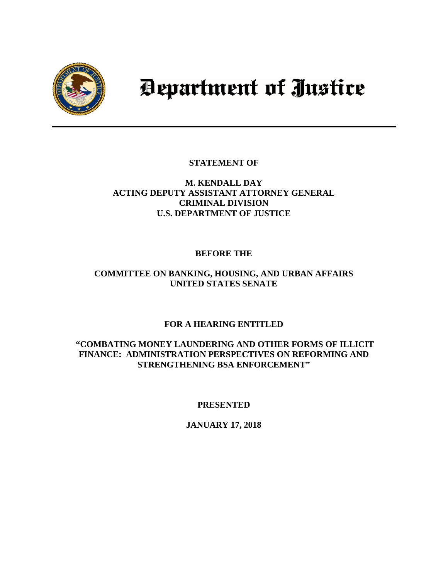

# Department of Justice

**STATEMENT OF** 

## **M. KENDALL DAY ACTING DEPUTY ASSISTANT ATTORNEY GENERAL CRIMINAL DIVISION U.S. DEPARTMENT OF JUSTICE**

# **BEFORE THE**

# **COMMITTEE ON BANKING, HOUSING, AND URBAN AFFAIRS UNITED STATES SENATE**

# **FOR A HEARING ENTITLED**

## **"COMBATING MONEY LAUNDERING AND OTHER FORMS OF ILLICIT FINANCE: ADMINISTRATION PERSPECTIVES ON REFORMING AND STRENGTHENING BSA ENFORCEMENT"**

# **PRESENTED**

# **JANUARY 17, 2018**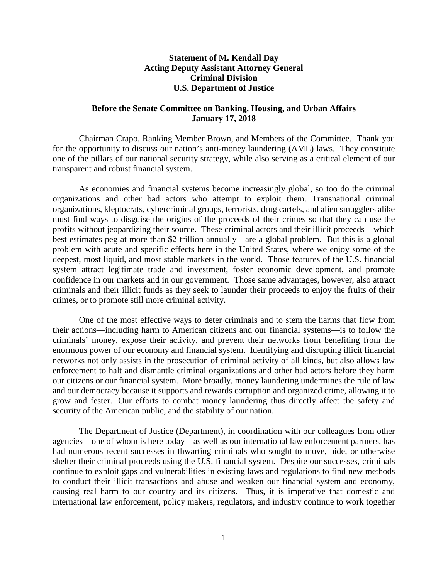### **Statement of M. Kendall Day Acting Deputy Assistant Attorney General Criminal Division U.S. Department of Justice**

#### **Before the Senate Committee on Banking, Housing, and Urban Affairs January 17, 2018**

Chairman Crapo, Ranking Member Brown, and Members of the Committee. Thank you for the opportunity to discuss our nation's anti-money laundering (AML) laws. They constitute one of the pillars of our national security strategy, while also serving as a critical element of our transparent and robust financial system.

As economies and financial systems become increasingly global, so too do the criminal organizations and other bad actors who attempt to exploit them. Transnational criminal organizations, kleptocrats, cybercriminal groups, terrorists, drug cartels, and alien smugglers alike must find ways to disguise the origins of the proceeds of their crimes so that they can use the profits without jeopardizing their source. These criminal actors and their illicit proceeds—which best estimates peg at more than \$2 trillion annually—are a global problem. But this is a global problem with acute and specific effects here in the United States, where we enjoy some of the deepest, most liquid, and most stable markets in the world. Those features of the U.S. financial system attract legitimate trade and investment, foster economic development, and promote confidence in our markets and in our government. Those same advantages, however, also attract criminals and their illicit funds as they seek to launder their proceeds to enjoy the fruits of their crimes, or to promote still more criminal activity.

One of the most effective ways to deter criminals and to stem the harms that flow from their actions—including harm to American citizens and our financial systems—is to follow the criminals' money, expose their activity, and prevent their networks from benefiting from the enormous power of our economy and financial system. Identifying and disrupting illicit financial networks not only assists in the prosecution of criminal activity of all kinds, but also allows law enforcement to halt and dismantle criminal organizations and other bad actors before they harm our citizens or our financial system. More broadly, money laundering undermines the rule of law and our democracy because it supports and rewards corruption and organized crime, allowing it to grow and fester. Our efforts to combat money laundering thus directly affect the safety and security of the American public, and the stability of our nation.

The Department of Justice (Department), in coordination with our colleagues from other agencies—one of whom is here today—as well as our international law enforcement partners, has had numerous recent successes in thwarting criminals who sought to move, hide, or otherwise shelter their criminal proceeds using the U.S. financial system. Despite our successes, criminals continue to exploit gaps and vulnerabilities in existing laws and regulations to find new methods to conduct their illicit transactions and abuse and weaken our financial system and economy, causing real harm to our country and its citizens. Thus, it is imperative that domestic and international law enforcement, policy makers, regulators, and industry continue to work together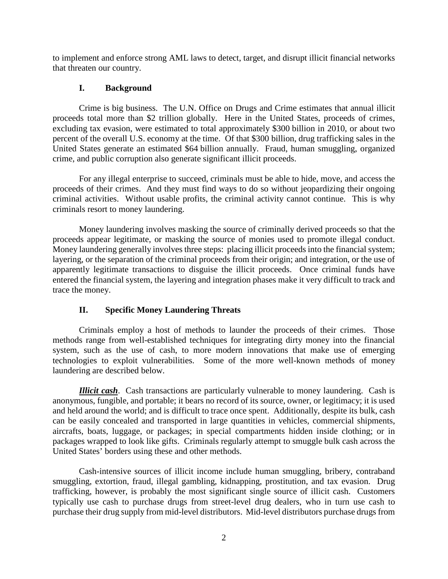to implement and enforce strong AML laws to detect, target, and disrupt illicit financial networks that threaten our country.

#### **I. Background**

Crime is big business. The U.N. Office on Drugs and Crime estimates that annual illicit proceeds total more than \$2 trillion globally. Here in the United States, proceeds of crimes, excluding tax evasion, were estimated to total approximately \$300 billion in 2010, or about two percent of the overall U.S. economy at the time. Of that \$300 billion, drug trafficking sales in the United States generate an estimated \$64 billion annually. Fraud, human smuggling, organized crime, and public corruption also generate significant illicit proceeds.

For any illegal enterprise to succeed, criminals must be able to hide, move, and access the proceeds of their crimes. And they must find ways to do so without jeopardizing their ongoing criminal activities. Without usable profits, the criminal activity cannot continue. This is why criminals resort to money laundering.

Money laundering involves masking the source of criminally derived proceeds so that the proceeds appear legitimate, or masking the source of monies used to promote illegal conduct. Money laundering generally involves three steps: placing illicit proceeds into the financial system; layering, or the separation of the criminal proceeds from their origin; and integration, or the use of apparently legitimate transactions to disguise the illicit proceeds. Once criminal funds have entered the financial system, the layering and integration phases make it very difficult to track and trace the money.

#### **II. Specific Money Laundering Threats**

Criminals employ a host of methods to launder the proceeds of their crimes. Those methods range from well-established techniques for integrating dirty money into the financial system, such as the use of cash, to more modern innovations that make use of emerging technologies to exploit vulnerabilities. Some of the more well-known methods of money laundering are described below.

*Illicit cash*. Cash transactions are particularly vulnerable to money laundering. Cash is anonymous, fungible, and portable; it bears no record of its source, owner, or legitimacy; it is used and held around the world; and is difficult to trace once spent. Additionally, despite its bulk, cash can be easily concealed and transported in large quantities in vehicles, commercial shipments, aircrafts, boats, luggage, or packages; in special compartments hidden inside clothing; or in packages wrapped to look like gifts. Criminals regularly attempt to smuggle bulk cash across the United States' borders using these and other methods.

Cash-intensive sources of illicit income include human smuggling, bribery, contraband smuggling, extortion, fraud, illegal gambling, kidnapping, prostitution, and tax evasion. Drug trafficking, however, is probably the most significant single source of illicit cash. Customers typically use cash to purchase drugs from street-level drug dealers, who in turn use cash to purchase their drug supply from mid-level distributors. Mid-level distributors purchase drugs from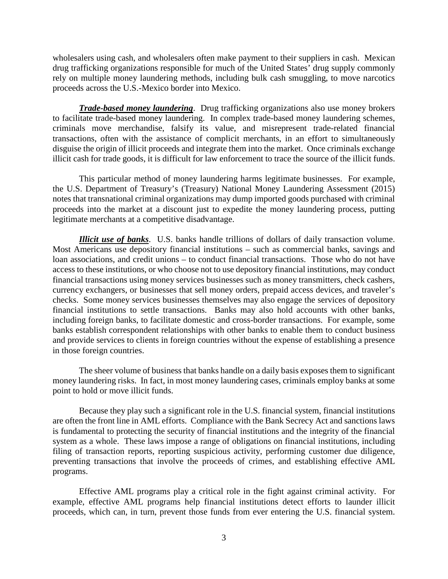wholesalers using cash, and wholesalers often make payment to their suppliers in cash. Mexican drug trafficking organizations responsible for much of the United States' drug supply commonly rely on multiple money laundering methods, including bulk cash smuggling, to move narcotics proceeds across the U.S.-Mexico border into Mexico.

*Trade-based money laundering*. Drug trafficking organizations also use money brokers to facilitate trade-based money laundering. In complex trade-based money laundering schemes, criminals move merchandise, falsify its value, and misrepresent trade-related financial transactions, often with the assistance of complicit merchants, in an effort to simultaneously disguise the origin of illicit proceeds and integrate them into the market. Once criminals exchange illicit cash for trade goods, it is difficult for law enforcement to trace the source of the illicit funds.

This particular method of money laundering harms legitimate businesses. For example, the U.S. Department of Treasury's (Treasury) National Money Laundering Assessment (2015) notes that transnational criminal organizations may dump imported goods purchased with criminal proceeds into the market at a discount just to expedite the money laundering process, putting legitimate merchants at a competitive disadvantage.

*Illicit use of banks*. U.S. banks handle trillions of dollars of daily transaction volume. Most Americans use depository financial institutions – such as commercial banks, savings and loan associations, and credit unions – to conduct financial transactions. Those who do not have access to these institutions, or who choose not to use depository financial institutions, may conduct financial transactions using money services businesses such as money transmitters, check cashers, currency exchangers, or businesses that sell money orders, prepaid access devices, and traveler's checks. Some money services businesses themselves may also engage the services of depository financial institutions to settle transactions. Banks may also hold accounts with other banks, including foreign banks, to facilitate domestic and cross-border transactions. For example, some banks establish correspondent relationships with other banks to enable them to conduct business and provide services to clients in foreign countries without the expense of establishing a presence in those foreign countries.

The sheer volume of business that banks handle on a daily basis exposes them to significant money laundering risks. In fact, in most money laundering cases, criminals employ banks at some point to hold or move illicit funds.

Because they play such a significant role in the U.S. financial system, financial institutions are often the front line in AML efforts. Compliance with the Bank Secrecy Act and sanctions laws is fundamental to protecting the security of financial institutions and the integrity of the financial system as a whole. These laws impose a range of obligations on financial institutions, including filing of transaction reports, reporting suspicious activity, performing customer due diligence, preventing transactions that involve the proceeds of crimes, and establishing effective AML programs.

Effective AML programs play a critical role in the fight against criminal activity. For example, effective AML programs help financial institutions detect efforts to launder illicit proceeds, which can, in turn, prevent those funds from ever entering the U.S. financial system.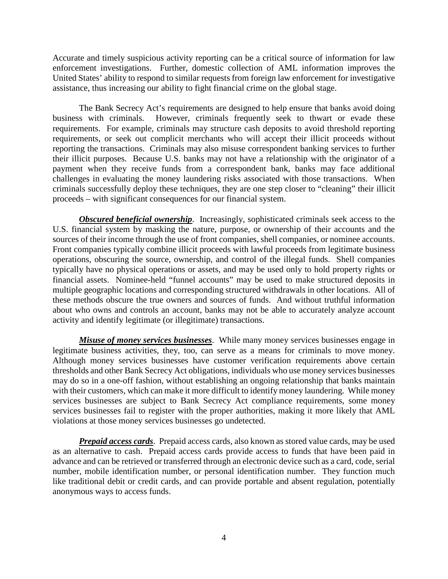Accurate and timely suspicious activity reporting can be a critical source of information for law enforcement investigations. Further, domestic collection of AML information improves the United States' ability to respond to similar requests from foreign law enforcement for investigative assistance, thus increasing our ability to fight financial crime on the global stage.

The Bank Secrecy Act's requirements are designed to help ensure that banks avoid doing business with criminals. However, criminals frequently seek to thwart or evade these requirements. For example, criminals may structure cash deposits to avoid threshold reporting requirements, or seek out complicit merchants who will accept their illicit proceeds without reporting the transactions. Criminals may also misuse correspondent banking services to further their illicit purposes. Because U.S. banks may not have a relationship with the originator of a payment when they receive funds from a correspondent bank, banks may face additional challenges in evaluating the money laundering risks associated with those transactions. When criminals successfully deploy these techniques, they are one step closer to "cleaning" their illicit proceeds – with significant consequences for our financial system.

*Obscured beneficial ownership.* Increasingly, sophisticated criminals seek access to the U.S. financial system by masking the nature, purpose, or ownership of their accounts and the sources of their income through the use of front companies, shell companies, or nominee accounts. Front companies typically combine illicit proceeds with lawful proceeds from legitimate business operations, obscuring the source, ownership, and control of the illegal funds. Shell companies typically have no physical operations or assets, and may be used only to hold property rights or financial assets. Nominee-held "funnel accounts" may be used to make structured deposits in multiple geographic locations and corresponding structured withdrawals in other locations. All of these methods obscure the true owners and sources of funds. And without truthful information about who owns and controls an account, banks may not be able to accurately analyze account activity and identify legitimate (or illegitimate) transactions.

*Misuse of money services businesses*. While many money services businesses engage in legitimate business activities, they, too, can serve as a means for criminals to move money. Although money services businesses have customer verification requirements above certain thresholds and other Bank Secrecy Act obligations, individuals who use money services businesses may do so in a one-off fashion, without establishing an ongoing relationship that banks maintain with their customers, which can make it more difficult to identify money laundering. While money services businesses are subject to Bank Secrecy Act compliance requirements, some money services businesses fail to register with the proper authorities, making it more likely that AML violations at those money services businesses go undetected.

*Prepaid access cards*. Prepaid access cards, also known as stored value cards, may be used as an alternative to cash. Prepaid access cards provide access to funds that have been paid in advance and can be retrieved or transferred through an electronic device such as a card, code, serial number, mobile identification number, or personal identification number. They function much like traditional debit or credit cards, and can provide portable and absent regulation, potentially anonymous ways to access funds.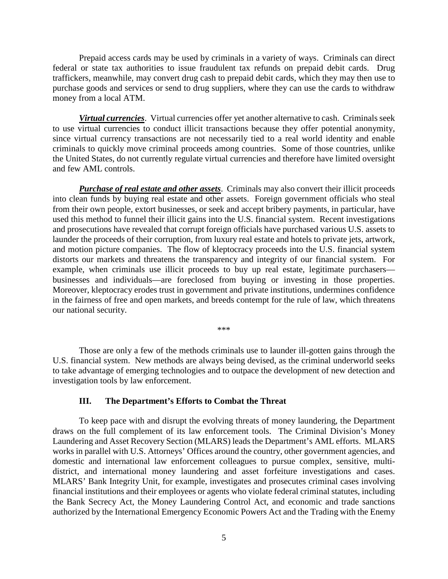Prepaid access cards may be used by criminals in a variety of ways. Criminals can direct federal or state tax authorities to issue fraudulent tax refunds on prepaid debit cards. Drug traffickers, meanwhile, may convert drug cash to prepaid debit cards, which they may then use to purchase goods and services or send to drug suppliers, where they can use the cards to withdraw money from a local ATM.

*Virtual currencies*. Virtual currencies offer yet another alternative to cash. Criminals seek to use virtual currencies to conduct illicit transactions because they offer potential anonymity, since virtual currency transactions are not necessarily tied to a real world identity and enable criminals to quickly move criminal proceeds among countries. Some of those countries, unlike the United States, do not currently regulate virtual currencies and therefore have limited oversight and few AML controls.

*Purchase of real estate and other assets*. Criminals may also convert their illicit proceeds into clean funds by buying real estate and other assets. Foreign government officials who steal from their own people, extort businesses, or seek and accept bribery payments, in particular, have used this method to funnel their illicit gains into the U.S. financial system. Recent investigations and prosecutions have revealed that corrupt foreign officials have purchased various U.S. assets to launder the proceeds of their corruption, from luxury real estate and hotels to private jets, artwork, and motion picture companies. The flow of kleptocracy proceeds into the U.S. financial system distorts our markets and threatens the transparency and integrity of our financial system. For example, when criminals use illicit proceeds to buy up real estate, legitimate purchasers businesses and individuals—are foreclosed from buying or investing in those properties. Moreover, kleptocracy erodes trust in government and private institutions, undermines confidence in the fairness of free and open markets, and breeds contempt for the rule of law, which threatens our national security.

\*\*\*

Those are only a few of the methods criminals use to launder ill-gotten gains through the U.S. financial system. New methods are always being devised, as the criminal underworld seeks to take advantage of emerging technologies and to outpace the development of new detection and investigation tools by law enforcement.

#### **III. The Department's Efforts to Combat the Threat**

To keep pace with and disrupt the evolving threats of money laundering, the Department draws on the full complement of its law enforcement tools. The Criminal Division's Money Laundering and Asset Recovery Section (MLARS) leads the Department's AML efforts. MLARS works in parallel with U.S. Attorneys' Offices around the country, other government agencies, and domestic and international law enforcement colleagues to pursue complex, sensitive, multidistrict, and international money laundering and asset forfeiture investigations and cases. MLARS' Bank Integrity Unit, for example, investigates and prosecutes criminal cases involving financial institutions and their employees or agents who violate federal criminal statutes, including the Bank Secrecy Act, the Money Laundering Control Act, and economic and trade sanctions authorized by the International Emergency Economic Powers Act and the Trading with the Enemy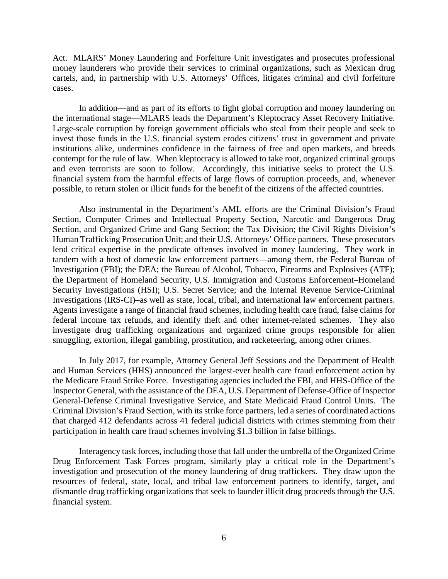Act. MLARS' Money Laundering and Forfeiture Unit investigates and prosecutes professional money launderers who provide their services to criminal organizations, such as Mexican drug cartels, and, in partnership with U.S. Attorneys' Offices, litigates criminal and civil forfeiture cases.

In addition—and as part of its efforts to fight global corruption and money laundering on the international stage—MLARS leads the Department's Kleptocracy Asset Recovery Initiative. Large-scale corruption by foreign government officials who steal from their people and seek to invest those funds in the U.S. financial system erodes citizens' trust in government and private institutions alike, undermines confidence in the fairness of free and open markets, and breeds contempt for the rule of law. When kleptocracy is allowed to take root, organized criminal groups and even terrorists are soon to follow. Accordingly, this initiative seeks to protect the U.S. financial system from the harmful effects of large flows of corruption proceeds, and, whenever possible, to return stolen or illicit funds for the benefit of the citizens of the affected countries.

Also instrumental in the Department's AML efforts are the Criminal Division's Fraud Section, Computer Crimes and Intellectual Property Section, Narcotic and Dangerous Drug Section, and Organized Crime and Gang Section; the Tax Division; the Civil Rights Division's Human Trafficking Prosecution Unit; and their U.S. Attorneys' Office partners. These prosecutors lend critical expertise in the predicate offenses involved in money laundering. They work in tandem with a host of domestic law enforcement partners—among them, the Federal Bureau of Investigation (FBI); the DEA; the Bureau of Alcohol, Tobacco, Firearms and Explosives (ATF); the Department of Homeland Security, U.S. Immigration and Customs Enforcement–Homeland Security Investigations (HSI); U.S. Secret Service; and the Internal Revenue Service-Criminal Investigations (IRS-CI)–as well as state, local, tribal, and international law enforcement partners. Agents investigate a range of financial fraud schemes, including health care fraud, false claims for federal income tax refunds, and identify theft and other internet-related schemes. They also investigate drug trafficking organizations and organized crime groups responsible for alien smuggling, extortion, illegal gambling, prostitution, and racketeering, among other crimes.

In July 2017, for example, Attorney General Jeff Sessions and the Department of Health and Human Services (HHS) announced the largest-ever health care fraud enforcement action by the Medicare Fraud Strike Force. Investigating agencies included the FBI, and HHS-Office of the Inspector General, with the assistance of the DEA, U.S. Department of Defense-Office of Inspector General-Defense Criminal Investigative Service, and State Medicaid Fraud Control Units. The Criminal Division's Fraud Section, with its strike force partners, led a series of coordinated actions that charged 412 defendants across 41 federal judicial districts with crimes stemming from their participation in health care fraud schemes involving \$1.3 billion in false billings.

Interagency task forces, including those that fall under the umbrella of the Organized Crime Drug Enforcement Task Forces program, similarly play a critical role in the Department's investigation and prosecution of the money laundering of drug traffickers. They draw upon the resources of federal, state, local, and tribal law enforcement partners to identify, target, and dismantle drug trafficking organizations that seek to launder illicit drug proceeds through the U.S. financial system.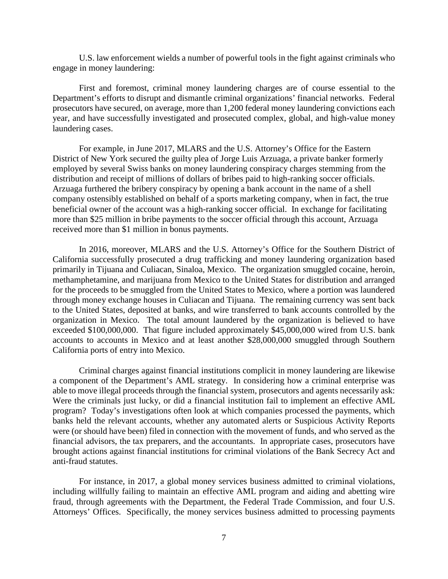U.S. law enforcement wields a number of powerful tools in the fight against criminals who engage in money laundering:

First and foremost, criminal money laundering charges are of course essential to the Department's efforts to disrupt and dismantle criminal organizations' financial networks. Federal prosecutors have secured, on average, more than 1,200 federal money laundering convictions each year, and have successfully investigated and prosecuted complex, global, and high-value money laundering cases.

For example, in June 2017, MLARS and the U.S. Attorney's Office for the Eastern District of New York secured the guilty plea of Jorge Luis Arzuaga, a private banker formerly employed by several Swiss banks on money laundering conspiracy charges stemming from the distribution and receipt of millions of dollars of bribes paid to high-ranking soccer officials. Arzuaga furthered the bribery conspiracy by opening a bank account in the name of a shell company ostensibly established on behalf of a sports marketing company, when in fact, the true beneficial owner of the account was a high-ranking soccer official. In exchange for facilitating more than \$25 million in bribe payments to the soccer official through this account, Arzuaga received more than \$1 million in bonus payments.

In 2016, moreover, MLARS and the U.S. Attorney's Office for the Southern District of California successfully prosecuted a drug trafficking and money laundering organization based primarily in Tijuana and Culiacan, Sinaloa, Mexico. The organization smuggled cocaine, heroin, methamphetamine, and marijuana from Mexico to the United States for distribution and arranged for the proceeds to be smuggled from the United States to Mexico, where a portion was laundered through money exchange houses in Culiacan and Tijuana. The remaining currency was sent back to the United States, deposited at banks, and wire transferred to bank accounts controlled by the organization in Mexico. The total amount laundered by the organization is believed to have exceeded \$100,000,000. That figure included approximately \$45,000,000 wired from U.S. bank accounts to accounts in Mexico and at least another \$28,000,000 smuggled through Southern California ports of entry into Mexico.

Criminal charges against financial institutions complicit in money laundering are likewise a component of the Department's AML strategy. In considering how a criminal enterprise was able to move illegal proceeds through the financial system, prosecutors and agents necessarily ask: Were the criminals just lucky, or did a financial institution fail to implement an effective AML program? Today's investigations often look at which companies processed the payments, which banks held the relevant accounts, whether any automated alerts or Suspicious Activity Reports were (or should have been) filed in connection with the movement of funds, and who served as the financial advisors, the tax preparers, and the accountants. In appropriate cases, prosecutors have brought actions against financial institutions for criminal violations of the Bank Secrecy Act and anti-fraud statutes.

For instance, in 2017, a global money services business admitted to criminal violations, including willfully failing to maintain an effective AML program and aiding and abetting wire fraud, through agreements with the Department, the Federal Trade Commission, and four U.S. Attorneys' Offices. Specifically, the money services business admitted to processing payments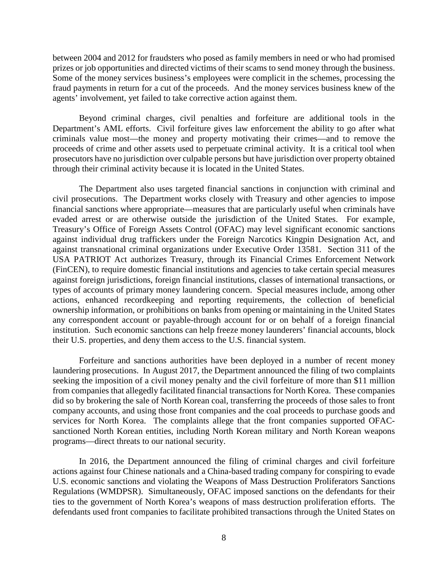between 2004 and 2012 for fraudsters who posed as family members in need or who had promised prizes or job opportunities and directed victims of their scams to send money through the business. Some of the money services business's employees were complicit in the schemes, processing the fraud payments in return for a cut of the proceeds. And the money services business knew of the agents' involvement, yet failed to take corrective action against them.

Beyond criminal charges, civil penalties and forfeiture are additional tools in the Department's AML efforts. Civil forfeiture gives law enforcement the ability to go after what criminals value most—the money and property motivating their crimes—and to remove the proceeds of crime and other assets used to perpetuate criminal activity. It is a critical tool when prosecutors have no jurisdiction over culpable persons but have jurisdiction over property obtained through their criminal activity because it is located in the United States.

The Department also uses targeted financial sanctions in conjunction with criminal and civil prosecutions. The Department works closely with Treasury and other agencies to impose financial sanctions where appropriate—measures that are particularly useful when criminals have evaded arrest or are otherwise outside the jurisdiction of the United States. For example, Treasury's Office of Foreign Assets Control (OFAC) may level significant economic sanctions against individual drug traffickers under the Foreign Narcotics Kingpin Designation Act, and against transnational criminal organizations under Executive Order 13581. Section 311 of the USA PATRIOT Act authorizes Treasury, through its Financial Crimes Enforcement Network (FinCEN), to require domestic financial institutions and agencies to take certain special measures against foreign jurisdictions, foreign financial institutions, classes of international transactions, or types of accounts of primary money laundering concern. Special measures include, among other actions, enhanced recordkeeping and reporting requirements, the collection of beneficial ownership information, or prohibitions on banks from opening or maintaining in the United States any correspondent account or payable-through account for or on behalf of a foreign financial institution. Such economic sanctions can help freeze money launderers' financial accounts, block their U.S. properties, and deny them access to the U.S. financial system.

Forfeiture and sanctions authorities have been deployed in a number of recent money laundering prosecutions. In August 2017, the Department announced the filing of two complaints seeking the imposition of a civil money penalty and the civil forfeiture of more than \$11 million from companies that allegedly facilitated financial transactions for North Korea. These companies did so by brokering the sale of North Korean coal, transferring the proceeds of those sales to front company accounts, and using those front companies and the coal proceeds to purchase goods and services for North Korea. The complaints allege that the front companies supported OFACsanctioned North Korean entities, including North Korean military and North Korean weapons programs—direct threats to our national security.

In 2016, the Department announced the filing of criminal charges and civil forfeiture actions against four Chinese nationals and a China-based trading company for conspiring to evade U.S. economic sanctions and violating the Weapons of Mass Destruction Proliferators Sanctions Regulations (WMDPSR). Simultaneously, OFAC imposed sanctions on the defendants for their ties to the government of North Korea's weapons of mass destruction proliferation efforts. The defendants used front companies to facilitate prohibited transactions through the United States on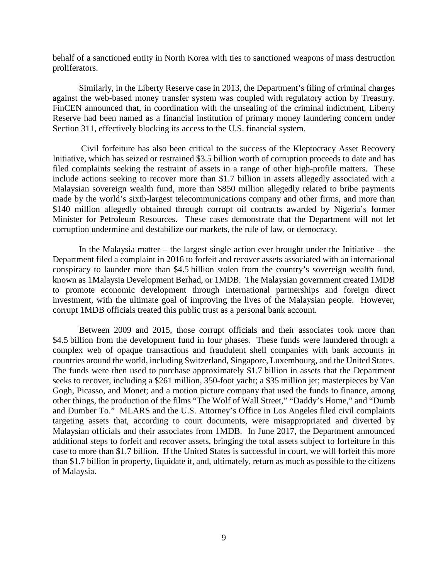behalf of a sanctioned entity in North Korea with ties to sanctioned weapons of mass destruction proliferators.

Similarly, in the Liberty Reserve case in 2013, the Department's filing of criminal charges against the web-based money transfer system was coupled with regulatory action by Treasury. FinCEN announced that, in coordination with the unsealing of the criminal indictment, Liberty Reserve had been named as a financial institution of primary money laundering concern under Section 311, effectively blocking its access to the U.S. financial system.

Civil forfeiture has also been critical to the success of the Kleptocracy Asset Recovery Initiative, which has seized or restrained \$3.5 billion worth of corruption proceeds to date and has filed complaints seeking the restraint of assets in a range of other high-profile matters. These include actions seeking to recover more than \$1.7 billion in assets allegedly associated with a Malaysian sovereign wealth fund, more than \$850 million allegedly related to bribe payments made by the world's sixth-largest telecommunications company and other firms, and more than \$140 million allegedly obtained through corrupt oil contracts awarded by Nigeria's former Minister for Petroleum Resources. These cases demonstrate that the Department will not let corruption undermine and destabilize our markets, the rule of law, or democracy.

In the Malaysia matter – the largest single action ever brought under the Initiative – the Department filed a complaint in 2016 to forfeit and recover assets associated with an international conspiracy to launder more than \$4.5 billion stolen from the country's sovereign wealth fund, known as 1Malaysia Development Berhad, or 1MDB. The Malaysian government created 1MDB to promote economic development through international partnerships and foreign direct investment, with the ultimate goal of improving the lives of the Malaysian people. However, corrupt 1MDB officials treated this public trust as a personal bank account.

Between 2009 and 2015, those corrupt officials and their associates took more than \$4.5 billion from the development fund in four phases. These funds were laundered through a complex web of opaque transactions and fraudulent shell companies with bank accounts in countries around the world, including Switzerland, Singapore, Luxembourg, and the United States. The funds were then used to purchase approximately \$1.7 billion in assets that the Department seeks to recover, including a \$261 million, 350-foot yacht; a \$35 million jet; masterpieces by Van Gogh, Picasso, and Monet; and a motion picture company that used the funds to finance, among other things, the production of the films "The Wolf of Wall Street," "Daddy's Home," and "Dumb and Dumber To." MLARS and the U.S. Attorney's Office in Los Angeles filed civil complaints targeting assets that, according to court documents, were misappropriated and diverted by Malaysian officials and their associates from 1MDB.In June 2017, the Department announced additional steps to forfeit and recover assets, bringing the total assets subject to forfeiture in this case to more than \$1.7 billion. If the United States is successful in court, we will forfeit this more than \$1.7 billion in property, liquidate it, and, ultimately, return as much as possible to the citizens of Malaysia.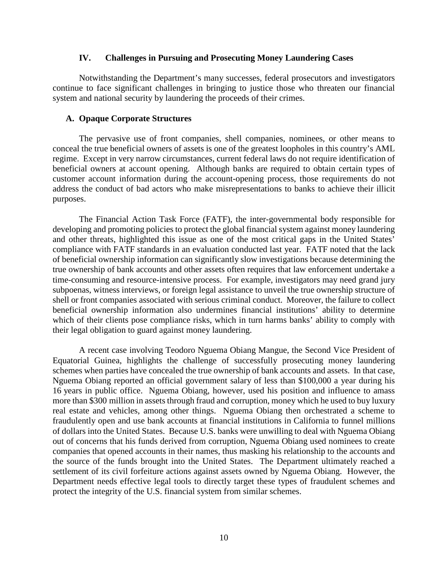#### **IV. Challenges in Pursuing and Prosecuting Money Laundering Cases**

Notwithstanding the Department's many successes, federal prosecutors and investigators continue to face significant challenges in bringing to justice those who threaten our financial system and national security by laundering the proceeds of their crimes.

#### **A. Opaque Corporate Structures**

The pervasive use of front companies, shell companies, nominees, or other means to conceal the true beneficial owners of assets is one of the greatest loopholes in this country's AML regime. Except in very narrow circumstances, current federal laws do not require identification of beneficial owners at account opening. Although banks are required to obtain certain types of customer account information during the account-opening process, those requirements do not address the conduct of bad actors who make misrepresentations to banks to achieve their illicit purposes.

The Financial Action Task Force (FATF), the inter-governmental body responsible for developing and promoting policies to protect the global financial system against money laundering and other threats, highlighted this issue as one of the most critical gaps in the United States' compliance with FATF standards in an evaluation conducted last year. FATF noted that the lack of beneficial ownership information can significantly slow investigations because determining the true ownership of bank accounts and other assets often requires that law enforcement undertake a time-consuming and resource-intensive process. For example, investigators may need grand jury subpoenas, witness interviews, or foreign legal assistance to unveil the true ownership structure of shell or front companies associated with serious criminal conduct. Moreover, the failure to collect beneficial ownership information also undermines financial institutions' ability to determine which of their clients pose compliance risks, which in turn harms banks' ability to comply with their legal obligation to guard against money laundering.

A recent case involving Teodoro Nguema Obiang Mangue, the Second Vice President of Equatorial Guinea, highlights the challenge of successfully prosecuting money laundering schemes when parties have concealed the true ownership of bank accounts and assets. In that case, Nguema Obiang reported an official government salary of less than \$100,000 a year during his 16 years in public office. Nguema Obiang, however, used his position and influence to amass more than \$300 million in assets through fraud and corruption, money which he used to buy luxury real estate and vehicles, among other things. Nguema Obiang then orchestrated a scheme to fraudulently open and use bank accounts at financial institutions in California to funnel millions of dollars into the United States. Because U.S. banks were unwilling to deal with Nguema Obiang out of concerns that his funds derived from corruption, Nguema Obiang used nominees to create companies that opened accounts in their names, thus masking his relationship to the accounts and the source of the funds brought into the United States. The Department ultimately reached a settlement of its civil forfeiture actions against assets owned by Nguema Obiang. However, the Department needs effective legal tools to directly target these types of fraudulent schemes and protect the integrity of the U.S. financial system from similar schemes.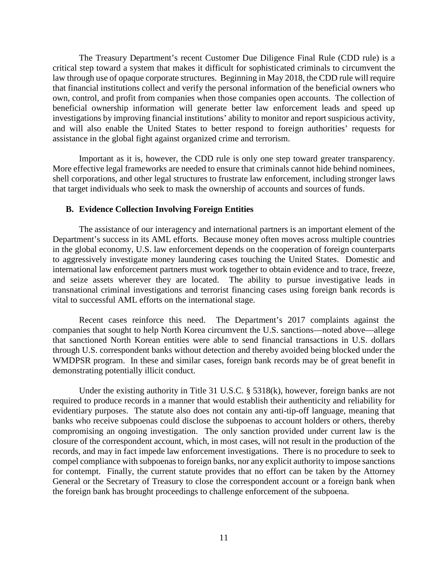The Treasury Department's recent Customer Due Diligence Final Rule (CDD rule) is a critical step toward a system that makes it difficult for sophisticated criminals to circumvent the law through use of opaque corporate structures. Beginning in May 2018, the CDD rule will require that financial institutions collect and verify the personal information of the beneficial owners who own, control, and profit from companies when those companies open accounts. The collection of beneficial ownership information will generate better law enforcement leads and speed up investigations by improving financial institutions' ability to monitor and report suspicious activity, and will also enable the United States to better respond to foreign authorities' requests for assistance in the global fight against organized crime and terrorism.

Important as it is, however, the CDD rule is only one step toward greater transparency. More effective legal frameworks are needed to ensure that criminals cannot hide behind nominees, shell corporations, and other legal structures to frustrate law enforcement, including stronger laws that target individuals who seek to mask the ownership of accounts and sources of funds.

#### **B. Evidence Collection Involving Foreign Entities**

The assistance of our interagency and international partners is an important element of the Department's success in its AML efforts. Because money often moves across multiple countries in the global economy, U.S. law enforcement depends on the cooperation of foreign counterparts to aggressively investigate money laundering cases touching the United States. Domestic and international law enforcement partners must work together to obtain evidence and to trace, freeze, and seize assets wherever they are located. The ability to pursue investigative leads in transnational criminal investigations and terrorist financing cases using foreign bank records is vital to successful AML efforts on the international stage.

Recent cases reinforce this need. The Department's 2017 complaints against the companies that sought to help North Korea circumvent the U.S. sanctions—noted above—allege that sanctioned North Korean entities were able to send financial transactions in U.S. dollars through U.S. correspondent banks without detection and thereby avoided being blocked under the WMDPSR program. In these and similar cases, foreign bank records may be of great benefit in demonstrating potentially illicit conduct.

Under the existing authority in Title 31 U.S.C. § 5318(k), however, foreign banks are not required to produce records in a manner that would establish their authenticity and reliability for evidentiary purposes. The statute also does not contain any anti-tip-off language, meaning that banks who receive subpoenas could disclose the subpoenas to account holders or others, thereby compromising an ongoing investigation. The only sanction provided under current law is the closure of the correspondent account, which, in most cases, will not result in the production of the records, and may in fact impede law enforcement investigations. There is no procedure to seek to compel compliance with subpoenas to foreign banks, nor any explicit authority to impose sanctions for contempt. Finally, the current statute provides that no effort can be taken by the Attorney General or the Secretary of Treasury to close the correspondent account or a foreign bank when the foreign bank has brought proceedings to challenge enforcement of the subpoena.